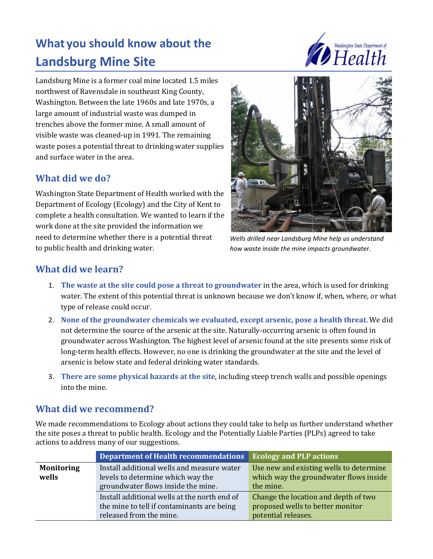# **What you should know about the Landsburg Mine Site**



Landsburg Mine is a former coal mine located 1.5 miles northwest of Ravensdale in southeast King County, Washington. Between the late 1960s and late 1970s, a large amount of industrial waste was dumped in trenches above the former mine. A small amount of visible waste was cleaned-up in 1991. The remaining waste poses a potential threat to drinking water supplies and surface water in the area.

### **What did we do?**

Washington State Department of Health worked with the Department of Ecology (Ecology) and the City of Kent to complete a health consultation. We wanted to learn if the work done at the site provided the information we need to determine whether there is a potential threat to public health and drinking water.



*Wells drilled near Landsburg Mine help us understand how waste inside the mine impacts groundwater.*

## **What did we learn?**

- 1. **The waste at the site could pose a threat to groundwater** in the area, which is used for drinking water. The extent of this potential threat is unknown because we don't know if, when, where, or what type of release could occur.
- 2. **None of the groundwater chemicals we evaluated, except arsenic, pose a health threat**. We did not determine the source of the arsenic at the site. Naturally-occurring arsenic is often found in groundwater across Washington. The highest level of arsenic found at the site presents some risk of long-term health effects. However, no one is drinking the groundwater at the site and the level of arsenic is below state and federal drinking water standards.
- 3. **There are some physical hazards at the site**, including steep trench walls and possible openings into the mine.

#### **What did we recommend?**

We made recommendations to Ecology about actions they could take to help us further understand whether the site poses a threat to public health. Ecology and the Potentially Liable Parties (PLPs) agreed to take actions to address many of our suggestions.

|                   | Department of Health recommendations         | <b>Ecology and PLP actions</b>          |
|-------------------|----------------------------------------------|-----------------------------------------|
| <b>Monitoring</b> | Install additional wells and measure water   | Use new and existing wells to determine |
| wells             | levels to determine which way the            | which way the groundwater flows inside  |
|                   | groundwater flows inside the mine.           | the mine.                               |
|                   | Install additional wells at the north end of | Change the location and depth of two    |
|                   | the mine to tell if contaminants are being   | proposed wells to better monitor        |
|                   | released from the mine.                      | potential releases.                     |